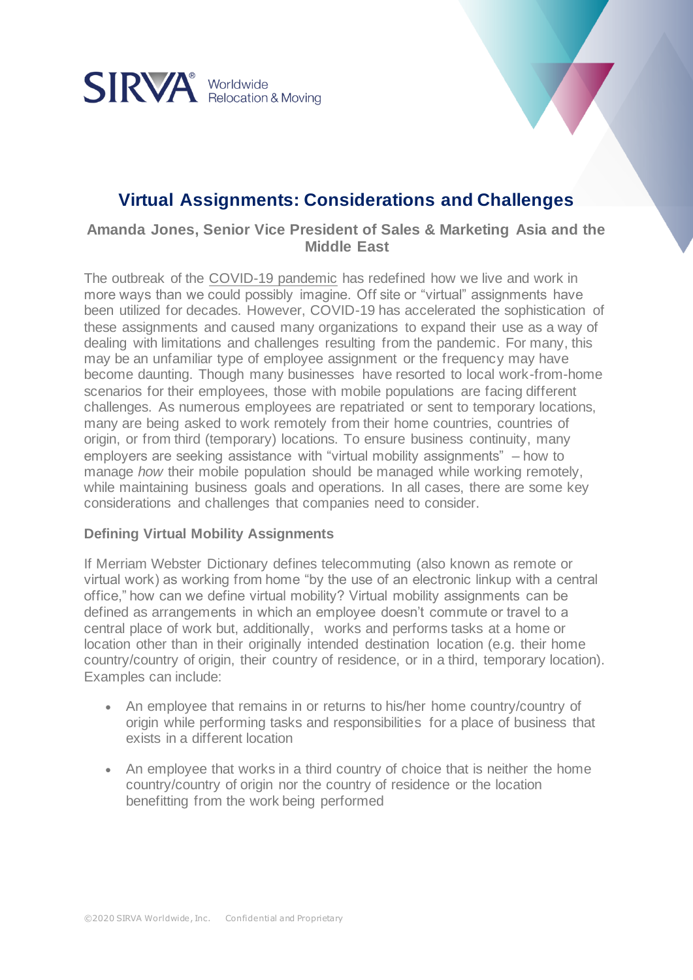

# **Virtual Assignments: Considerations and Challenges**

**Amanda Jones, Senior Vice President of Sales & Marketing Asia and the Middle East**

The outbreak of the [COVID-19 pandemic](https://www.sirva.com/company/covid-19-updates) has redefined how we live and work in more ways than we could possibly imagine. Off site or "virtual" assignments have been utilized for decades. However, COVID-19 has accelerated the sophistication of these assignments and caused many organizations to expand their use as a way of dealing with limitations and challenges resulting from the pandemic. For many, this may be an unfamiliar type of employee assignment or the frequency may have become daunting. Though many businesses have resorted to local work-from-home scenarios for their employees, those with mobile populations are facing different challenges. As numerous employees are repatriated or sent to temporary locations, many are being asked to work remotely from their home countries, countries of origin, or from third (temporary) locations. To ensure business continuity, many employers are seeking assistance with "virtual mobility assignments" – how to manage *how* their mobile population should be managed while working remotely, while maintaining business goals and operations. In all cases, there are some key considerations and challenges that companies need to consider.

# **Defining Virtual Mobility Assignments**

If Merriam Webster Dictionary defines telecommuting (also known as remote or virtual work) as working from home "by the use of an electronic linkup with a central office," how can we define virtual mobility? Virtual mobility assignments can be defined as arrangements in which an employee doesn't commute or travel to a central place of work but, additionally, works and performs tasks at a home or location other than in their originally intended destination location (e.g. their home country/country of origin, their country of residence, or in a third, temporary location). Examples can include:

- An employee that remains in or returns to his/her home country/country of origin while performing tasks and responsibilities for a place of business that exists in a different location
- An employee that works in a third country of choice that is neither the home country/country of origin nor the country of residence or the location benefitting from the work being performed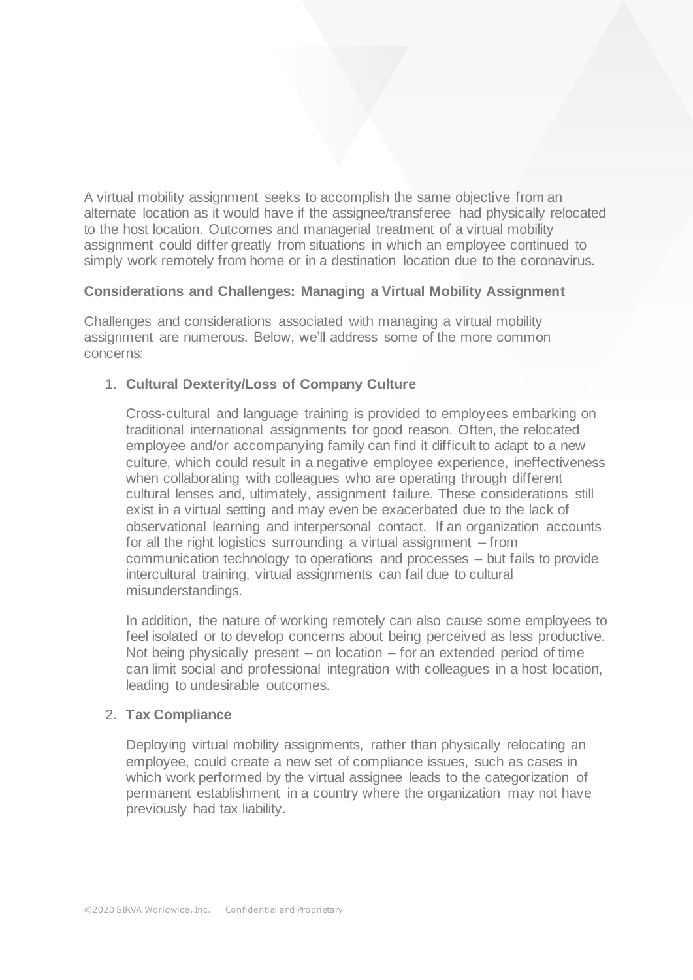A virtual mobility assignment seeks to accomplish the same objective from an alternate location as it would have if the assignee/transferee had physically relocated to the host location. Outcomes and managerial treatment of a virtual mobility assignment could differ greatly from situations in which an employee continued to simply work remotely from home or in a destination location due to the coronavirus.

#### **Considerations and Challenges: Managing a Virtual Mobility Assignment**

Challenges and considerations associated with managing a virtual mobility assignment are numerous. Below, we'll address some of the more common concerns:

# 1. **Cultural Dexterity/Loss of Company Culture**

Cross-cultural and language training is provided to employees embarking on traditional international assignments for good reason. Often, the relocated employee and/or accompanying family can find it difficult to adapt to a new culture, which could result in a negative employee experience, ineffectiveness when collaborating with colleagues who are operating through different cultural lenses and, ultimately, assignment failure. These considerations still exist in a virtual setting and may even be exacerbated due to the lack of observational learning and interpersonal contact. If an organization accounts for all the right logistics surrounding a virtual assignment – from communication technology to operations and processes – but fails to provide intercultural training, virtual assignments can fail due to cultural misunderstandings.

In addition, the nature of working remotely can also cause some employees to feel isolated or to develop concerns about being perceived as less productive. Not being physically present – on location – for an extended period of time can limit social and professional integration with colleagues in a host location, leading to undesirable outcomes.

#### 2. **Tax Compliance**

Deploying virtual mobility assignments, rather than physically relocating an employee, could create a new set of compliance issues, such as cases in which work performed by the virtual assignee leads to the categorization of permanent establishment in a country where the organization may not have previously had tax liability.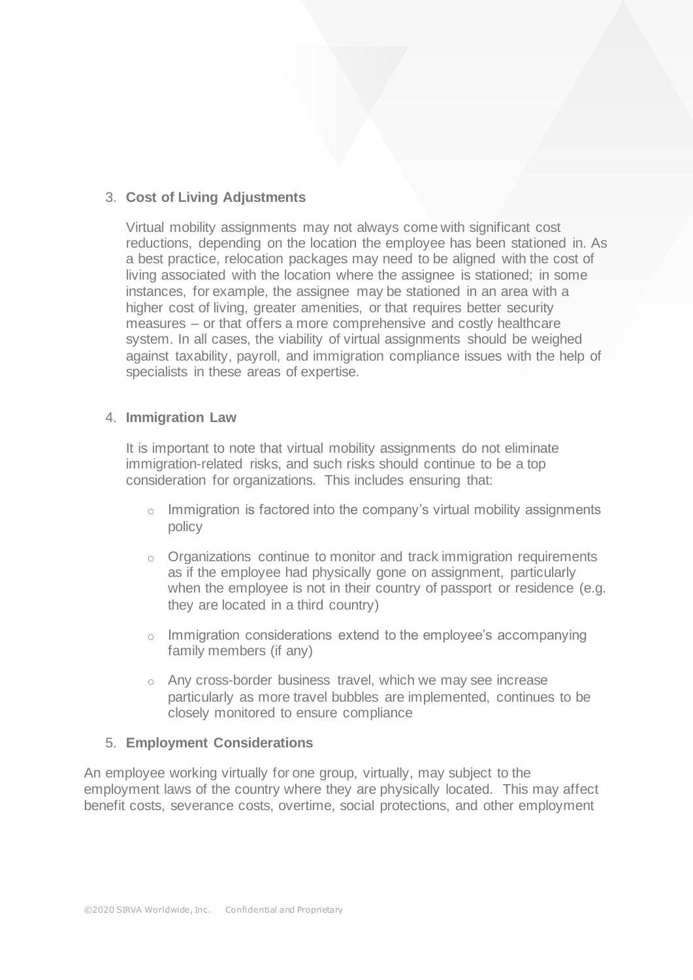# 3. **Cost of Living Adjustments**

Virtual mobility assignments may not always come with significant cost reductions, depending on the location the employee has been stationed in. As a best practice, relocation packages may need to be aligned with the cost of living associated with the location where the assignee is stationed; in some instances, for example, the assignee may be stationed in an area with a higher cost of living, greater amenities, or that requires better security measures – or that offers a more comprehensive and costly healthcare system. In all cases, the viability of virtual assignments should be weighed against taxability, payroll, and immigration compliance issues with the help of specialists in these areas of expertise.

#### 4. **Immigration Law**

It is important to note that virtual mobility assignments do not eliminate immigration-related risks, and such risks should continue to be a top consideration for organizations. This includes ensuring that:

- $\circ$  Immigration is factored into the company's virtual mobility assignments policy
- o Organizations continue to monitor and track immigration requirements as if the employee had physically gone on assignment, particularly when the employee is not in their country of passport or residence (e.g. they are located in a third country)
- o Immigration considerations extend to the employee's accompanying family members (if any)
- o Any cross-border business travel, which we may see increase particularly as more travel bubbles are implemented, continues to be closely monitored to ensure compliance

#### 5. **Employment Considerations**

An employee working virtually for one group, virtually, may subject to the employment laws of the country where they are physically located. This may affect benefit costs, severance costs, overtime, social protections, and other employment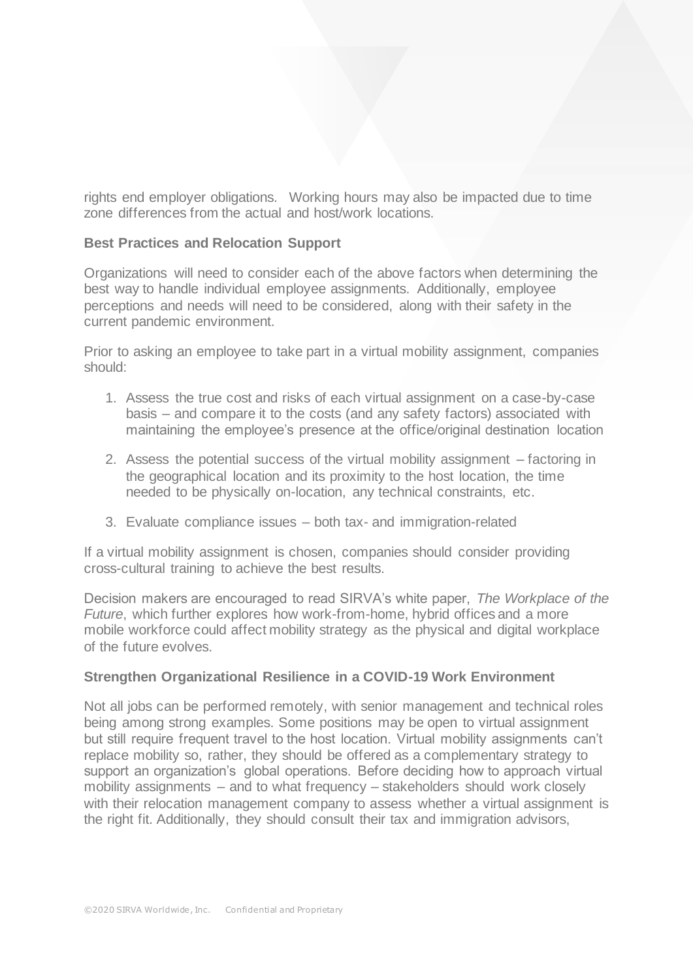rights end employer obligations. Working hours may also be impacted due to time zone differences from the actual and host/work locations.

### **Best Practices and Relocation Support**

Organizations will need to consider each of the above factors when determining the best way to handle individual employee assignments. Additionally, employee perceptions and needs will need to be considered, along with their safety in the current pandemic environment.

Prior to asking an employee to take part in a virtual mobility assignment, companies should:

- 1. Assess the true cost and risks of each virtual assignment on a case-by-case basis – and compare it to the costs (and any safety factors) associated with maintaining the employee's presence at the office/original destination location
- 2. Assess the potential success of the virtual mobility assignment factoring in the geographical location and its proximity to the host location, the time needed to be physically on-location, any technical constraints, etc.
- 3. Evaluate compliance issues both tax- and immigration-related

If a virtual mobility assignment is chosen, companies should consider providing cross-cultural training to achieve the best results.

Decision makers are encouraged to read SIRVA's white paper, *The Workplace of the Future*, which further explores how work-from-home, hybrid offices and a more mobile workforce could affect mobility strategy as the physical and digital workplace of the future evolves.

#### **Strengthen Organizational Resilience in a COVID-19 Work Environment**

Not all jobs can be performed remotely, with senior management and technical roles being among strong examples. Some positions may be open to virtual assignment but still require frequent travel to the host location. Virtual mobility assignments can't replace mobility so, rather, they should be offered as a complementary strategy to support an organization's global operations. Before deciding how to approach virtual mobility assignments – and to what frequency – stakeholders should work closely with their relocation management company to assess whether a virtual assignment is the right fit. Additionally, they should consult their tax and immigration advisors,